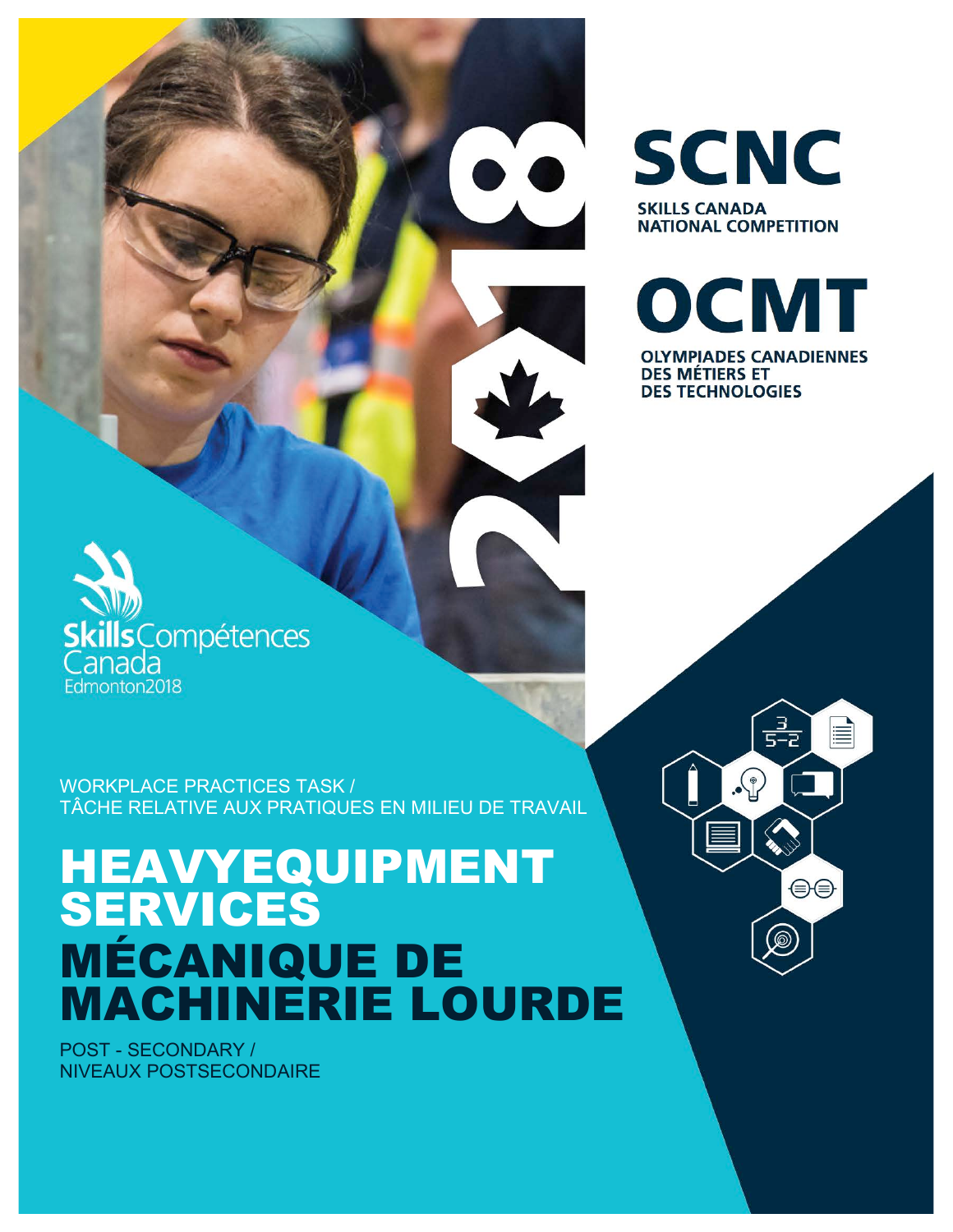WORKPLACE PRACTICES TASK / TÂCHE RELATIVE AUX PRATIQUES EN MILIEU DE TRAVAIL

# HEAVYEQUIPMENT SERVICES MÉCANIQUE DE MACHINERIE LOURDE

POST - SECONDARY / NIVEAUX POSTSECONDAIRE

**cills**Compétences

anada Edmonton2018 **OLYMPIADES CANADIENNES DES MÉTIERS ET DES TECHNOLOGIES** 

OCMT

**SCNC SKILLS CANADA NATIONAL COMPETITION** 

> $\frac{3}{5-2}$ ≣

> > ⊜⊜

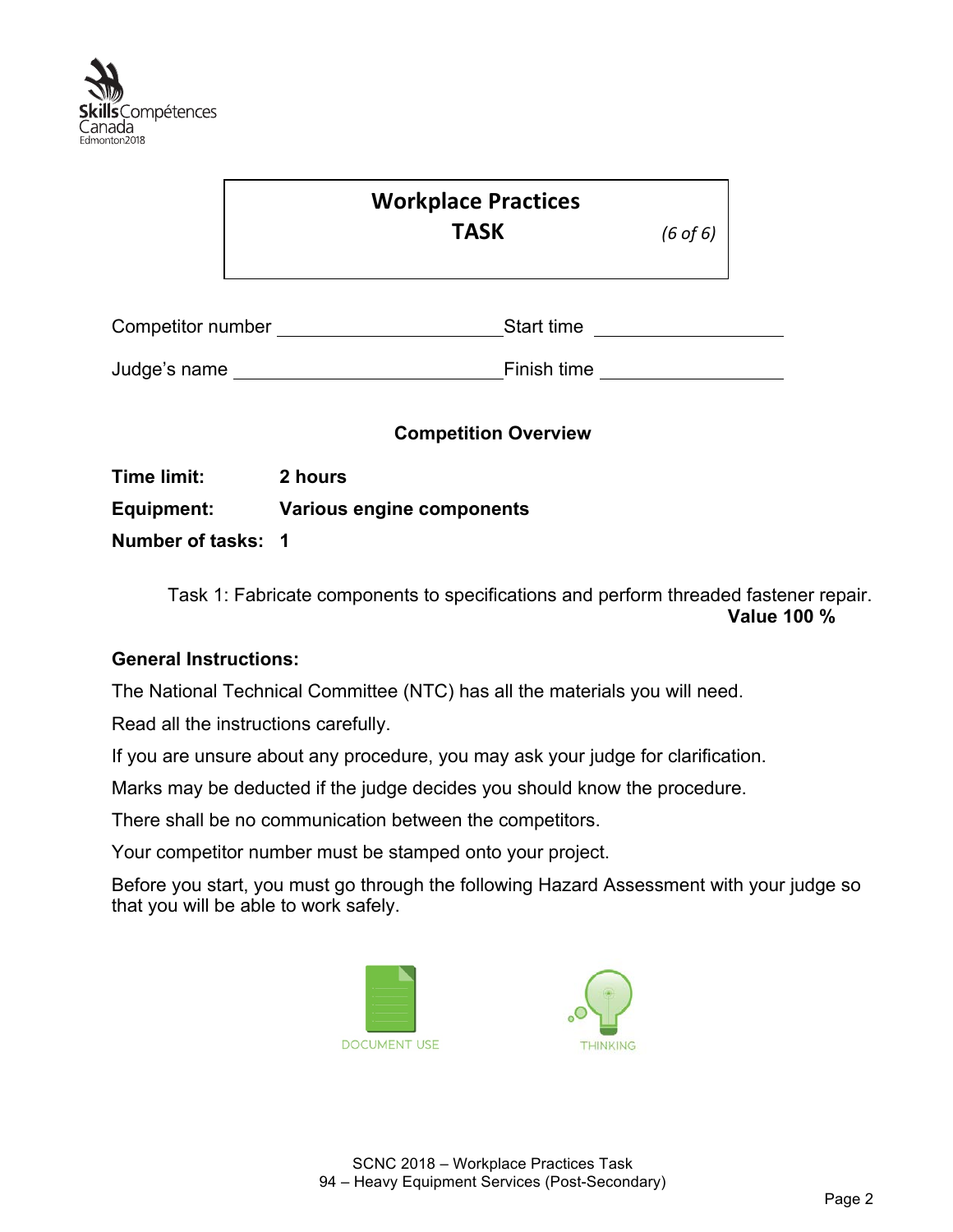

|                    |         | <b>Workplace Practices</b><br><b>TASK</b> | $(6 \text{ of } 6)$ |
|--------------------|---------|-------------------------------------------|---------------------|
| Competitor number  |         | Start time                                |                     |
| Judge's name       |         | Finish time                               |                     |
| <b>Time limit:</b> | 2 hours | <b>Competition Overview</b>               |                     |

**Equipment: Various engine components Number of tasks: 1**

> Task 1: Fabricate components to specifications and perform threaded fastener repair. **Value 100 %**

## **General Instructions:**

The National Technical Committee (NTC) has all the materials you will need.

Read all the instructions carefully.

If you are unsure about any procedure, you may ask your judge for clarification.

Marks may be deducted if the judge decides you should know the procedure.

There shall be no communication between the competitors.

Your competitor number must be stamped onto your project.

Before you start, you must go through the following Hazard Assessment with your judge so that you will be able to work safely.



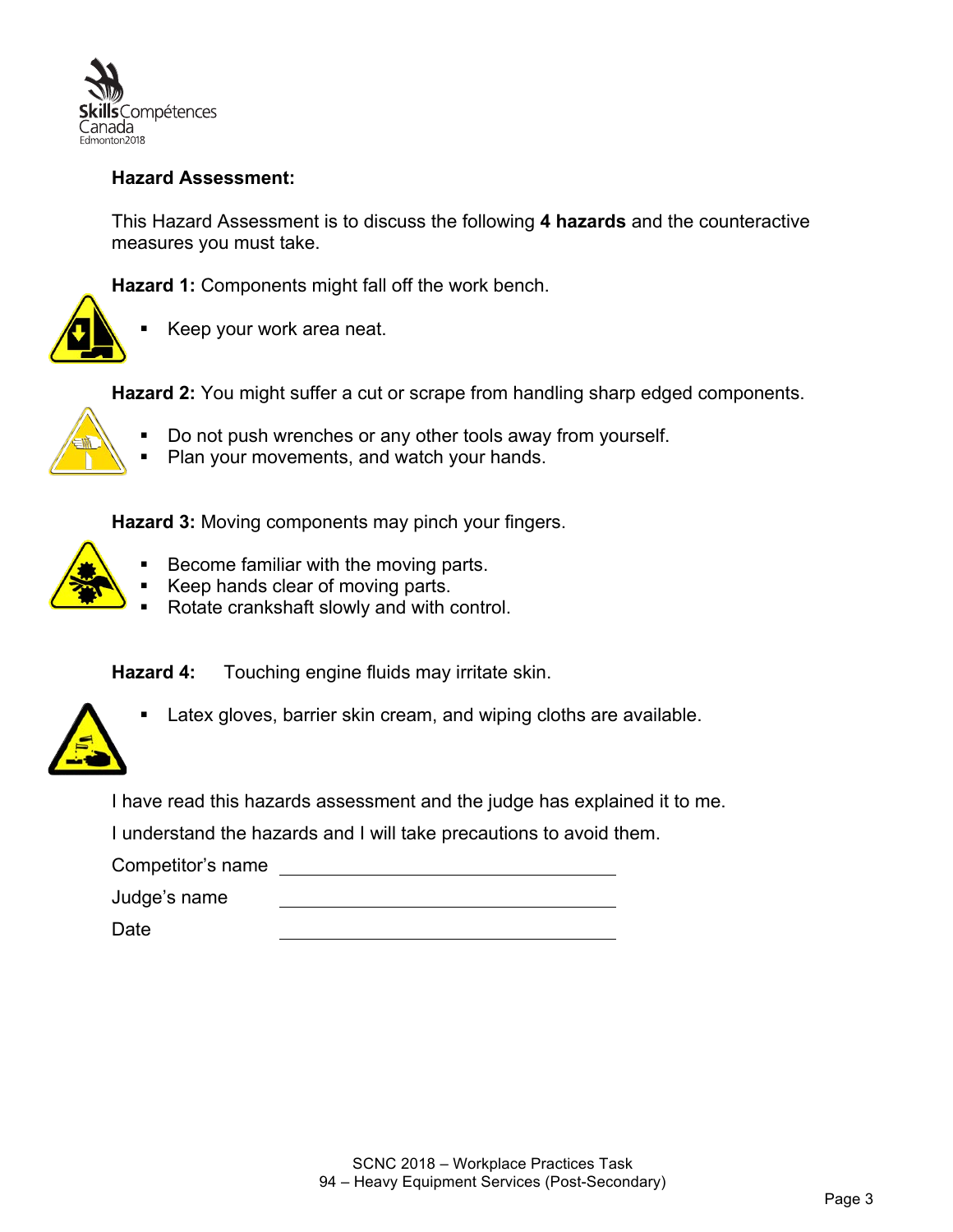

## **Hazard Assessment:**

This Hazard Assessment is to discuss the following **4 hazards** and the counteractive measures you must take.

**Hazard 1:** Components might fall off the work bench.



§ Keep your work area neat.

**Hazard 2:** You might suffer a cut or scrape from handling sharp edged components.

- Do not push wrenches or any other tools away from yourself.
- Plan your movements, and watch your hands.

**Hazard 3:** Moving components may pinch your fingers.

- Become familiar with the moving parts.
- Keep hands clear of moving parts.
- Rotate crankshaft slowly and with control.

**Hazard 4:** Touching engine fluids may irritate skin.



■ Latex gloves, barrier skin cream, and wiping cloths are available.

I have read this hazards assessment and the judge has explained it to me.

I understand the hazards and I will take precautions to avoid them.

Competitor's name

Judge's name

Date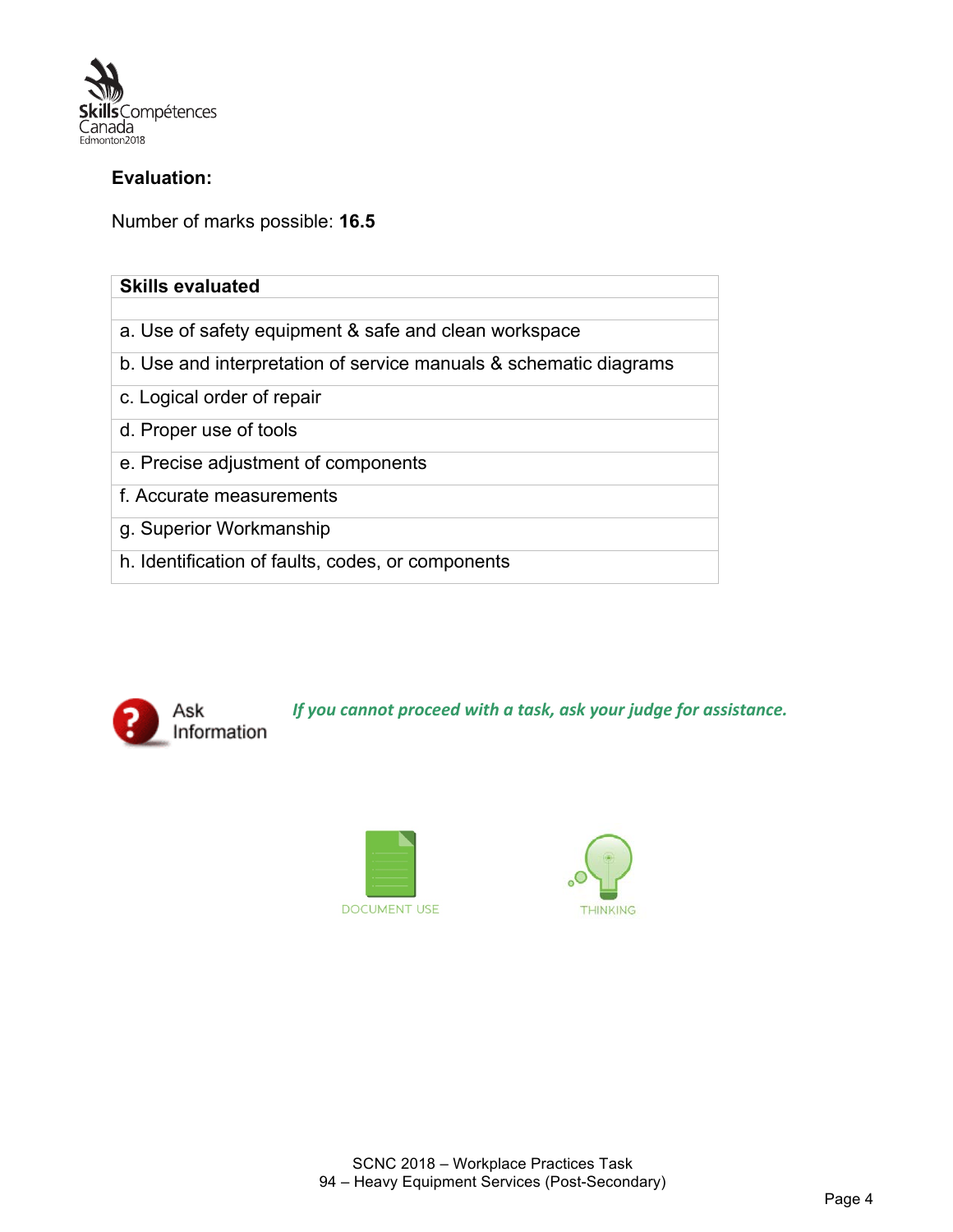

#### **Evaluation:**

Number of marks possible: **16.5**

| <b>Skills evaluated</b>                                           |  |  |
|-------------------------------------------------------------------|--|--|
|                                                                   |  |  |
| a. Use of safety equipment & safe and clean workspace             |  |  |
| b. Use and interpretation of service manuals & schematic diagrams |  |  |
| c. Logical order of repair                                        |  |  |
| d. Proper use of tools                                            |  |  |
| e. Precise adjustment of components                               |  |  |
| f. Accurate measurements                                          |  |  |
| g. Superior Workmanship                                           |  |  |
| h. Identification of faults, codes, or components                 |  |  |



*If you cannot proceed with a task, ask your judge for assistance.* 



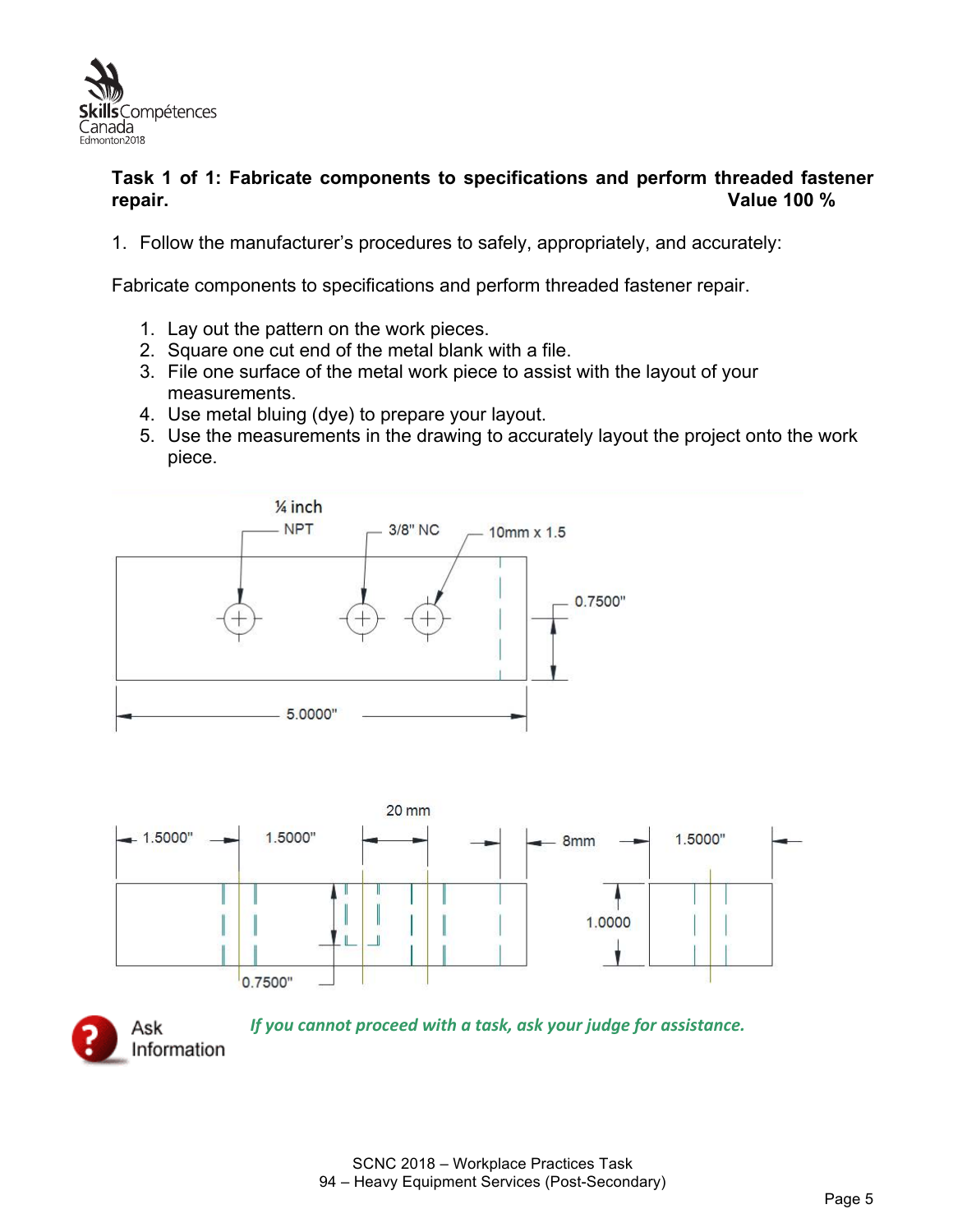

#### **Task 1 of 1: Fabricate components to specifications and perform threaded fastener repair. Value 100 %**

1. Follow the manufacturer's procedures to safely, appropriately, and accurately:

Fabricate components to specifications and perform threaded fastener repair.

- 1. Lay out the pattern on the work pieces.
- 2. Square one cut end of the metal blank with a file.
- 3. File one surface of the metal work piece to assist with the layout of your measurements.
- 4. Use metal bluing (dye) to prepare your layout.
- 5. Use the measurements in the drawing to accurately layout the project onto the work piece.







*If you cannot proceed with a task, ask your judge for assistance.*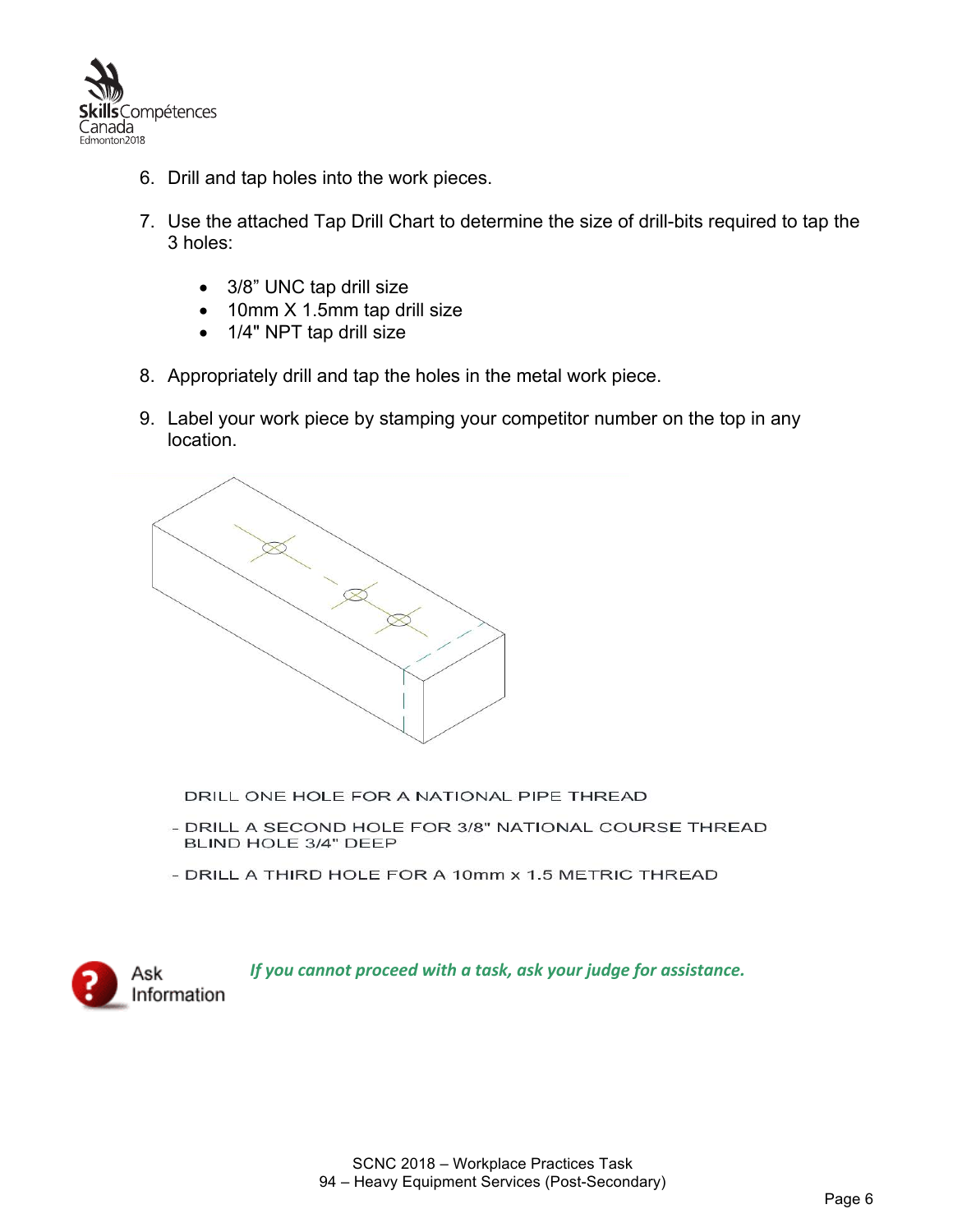

- 6. Drill and tap holes into the work pieces.
- 7. Use the attached Tap Drill Chart to determine the size of drill-bits required to tap the 3 holes:
	- 3/8" UNC tap drill size
	- 10mm X 1.5mm tap drill size
	- 1/4" NPT tap drill size
- 8. Appropriately drill and tap the holes in the metal work piece.
- 9. Label your work piece by stamping your competitor number on the top in any location.



DRILL ONE HOLE FOR A NATIONAL PIPE THREAD

- DRILL A SECOND HOLE FOR 3/8" NATIONAL COURSE THREAD BLIND HOLE 3/4" DEEP
- DRILL A THIRD HOLE FOR A 10mm x 1.5 METRIC THREAD

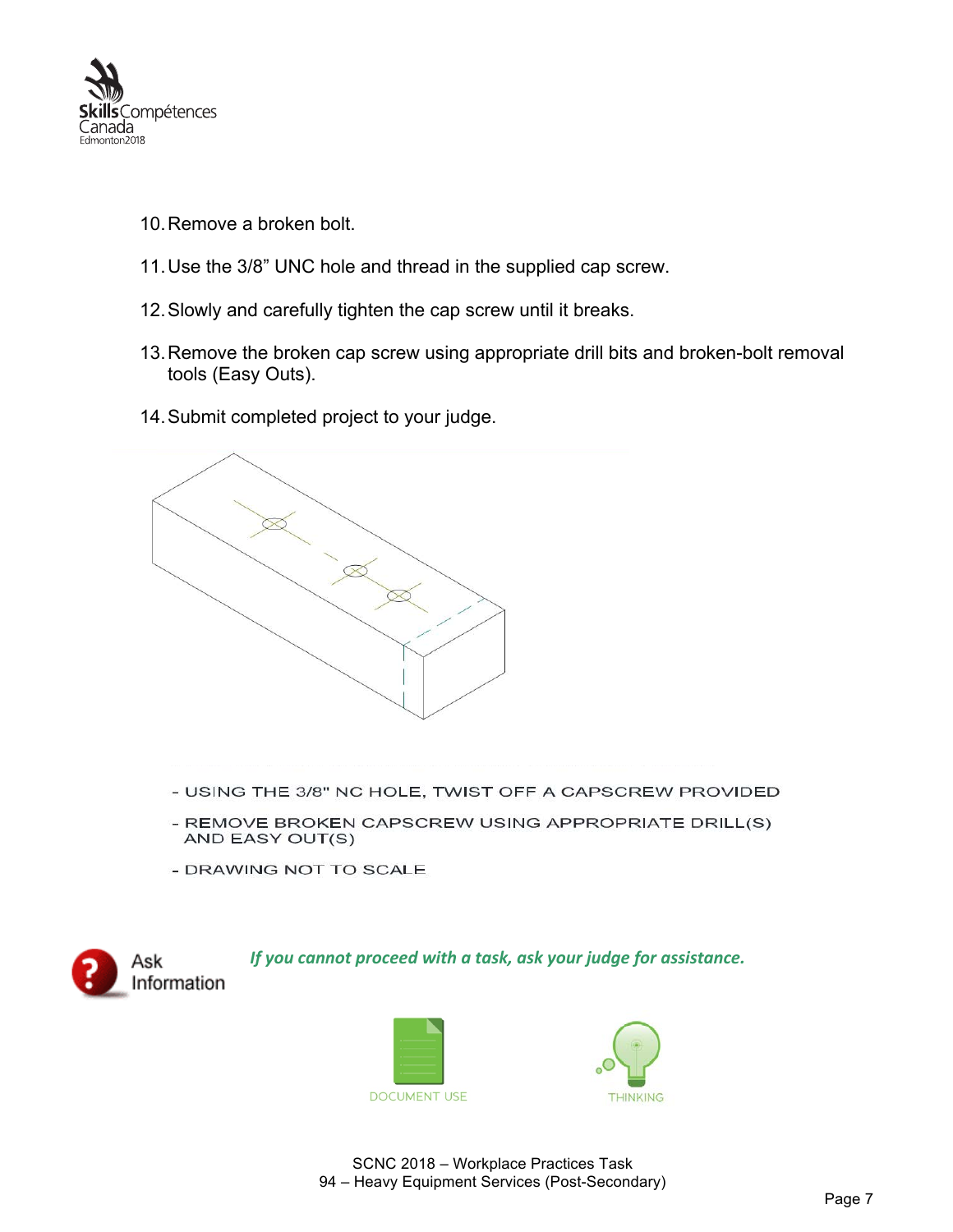

- 10.Remove a broken bolt.
- 11.Use the 3/8" UNC hole and thread in the supplied cap screw.
- 12.Slowly and carefully tighten the cap screw until it breaks.
- 13.Remove the broken cap screw using appropriate drill bits and broken-bolt removal tools (Easy Outs).
- 14.Submit completed project to your judge.



- USING THE 3/8" NC HOLE, TWIST OFF A CAPSCREW PROVIDED
- REMOVE BROKEN CAPSCREW USING APPROPRIATE DRILL(S) AND EASY OUT(S)
- DRAWING NOT TO SCALE







SCNC 2018 – Workplace Practices Task 94 – Heavy Equipment Services (Post-Secondary)